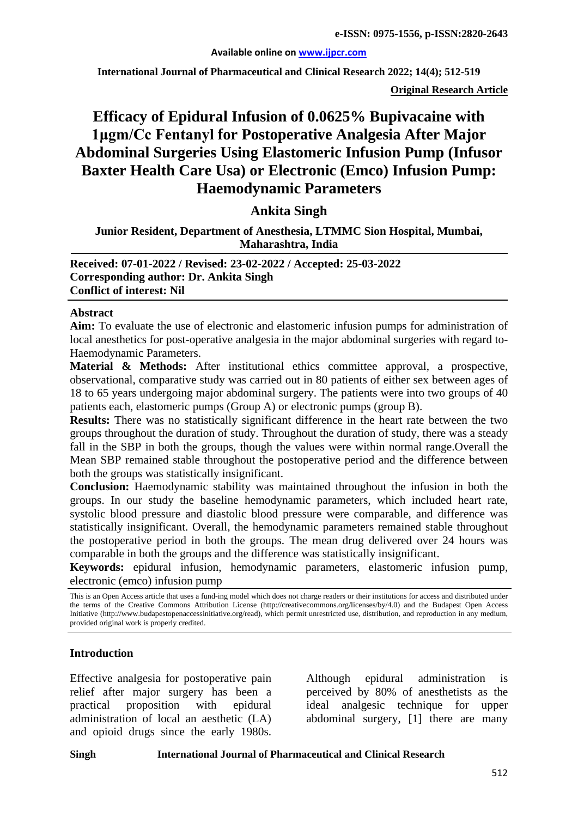#### **Available online on [www.ijpcr.com](http://www.ijpcr.com/)**

**International Journal of Pharmaceutical and Clinical Research 2022; 14(4); 512-519**

**Original Research Article**

# **Efficacy of Epidural Infusion of 0.0625% Bupivacaine with 1μgm/Cc Fentanyl for Postoperative Analgesia After Major Abdominal Surgeries Using Elastomeric Infusion Pump (Infusor Baxter Health Care Usa) or Electronic (Emco) Infusion Pump: Haemodynamic Parameters**

## **Ankita Singh**

**Junior Resident, Department of Anesthesia, LTMMC Sion Hospital, Mumbai, Maharashtra, India**

**Received: 07-01-2022 / Revised: 23-02-2022 / Accepted: 25-03-2022 Corresponding author: Dr. Ankita Singh Conflict of interest: Nil**

#### **Abstract**

**Aim:** To evaluate the use of electronic and elastomeric infusion pumps for administration of local anesthetics for post-operative analgesia in the major abdominal surgeries with regard to-Haemodynamic Parameters.

**Material & Methods:** After institutional ethics committee approval, a prospective, observational, comparative study was carried out in 80 patients of either sex between ages of 18 to 65 years undergoing major abdominal surgery. The patients were into two groups of 40 patients each, elastomeric pumps (Group A) or electronic pumps (group B).

**Results:** There was no statistically significant difference in the heart rate between the two groups throughout the duration of study. Throughout the duration of study, there was a steady fall in the SBP in both the groups, though the values were within normal range.Overall the Mean SBP remained stable throughout the postoperative period and the difference between both the groups was statistically insignificant.

**Conclusion:** Haemodynamic stability was maintained throughout the infusion in both the groups. In our study the baseline hemodynamic parameters, which included heart rate, systolic blood pressure and diastolic blood pressure were comparable, and difference was statistically insignificant. Overall, the hemodynamic parameters remained stable throughout the postoperative period in both the groups. The mean drug delivered over 24 hours was comparable in both the groups and the difference was statistically insignificant.

**Keywords:** epidural infusion, hemodynamic parameters, elastomeric infusion pump, electronic (emco) infusion pump

#### **Introduction**

Effective analgesia for postoperative pain relief after major surgery has been a practical proposition with epidural administration of local an aesthetic (LA) and opioid drugs since the early 1980s.

Although epidural administration is perceived by 80% of anesthetists as the ideal analgesic technique for upper abdominal surgery, [1] there are many

This is an Open Access article that uses a fund-ing model which does not charge readers or their institutions for access and distributed under the terms of the Creative Commons Attribution License (http://creativecommons.org/licenses/by/4.0) and the Budapest Open Access Initiative (http://www.budapestopenaccessinitiative.org/read), which permit unrestricted use, distribution, and reproduction in any medium, provided original work is properly credited.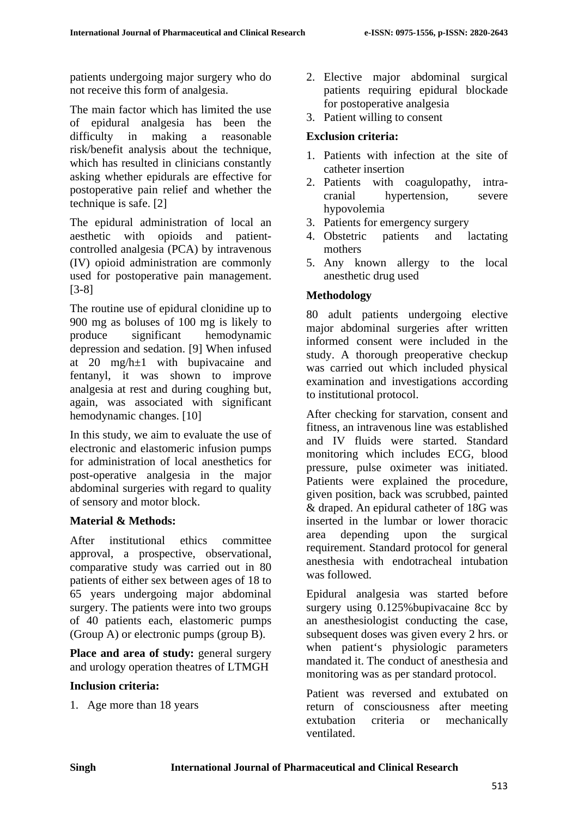patients undergoing major surgery who do not receive this form of analgesia.

The main factor which has limited the use of epidural analgesia has been the difficulty in making a reasonable risk/benefit analysis about the technique, which has resulted in clinicians constantly asking whether epidurals are effective for postoperative pain relief and whether the technique is safe. [2]

The epidural administration of local an aesthetic with opioids and patientcontrolled analgesia (PCA) by intravenous (IV) opioid administration are commonly used for postoperative pain management. [3-8]

The routine use of epidural clonidine up to 900 mg as boluses of 100 mg is likely to produce significant hemodynamic depression and sedation. [9] When infused at 20 mg/h±1 with bupivacaine and fentanyl, it was shown to improve analgesia at rest and during coughing but, again, was associated with significant hemodynamic changes. [10]

In this study, we aim to evaluate the use of electronic and elastomeric infusion pumps for administration of local anesthetics for post-operative analgesia in the major abdominal surgeries with regard to quality of sensory and motor block.

## **Material & Methods:**

After institutional ethics committee approval, a prospective, observational, comparative study was carried out in 80 patients of either sex between ages of 18 to 65 years undergoing major abdominal surgery. The patients were into two groups of 40 patients each, elastomeric pumps (Group A) or electronic pumps (group B).

**Place and area of study:** general surgery and urology operation theatres of LTMGH

## **Inclusion criteria:**

1. Age more than 18 years

- 2. Elective major abdominal surgical patients requiring epidural blockade for postoperative analgesia
- 3. Patient willing to consent

# **Exclusion criteria:**

- 1. Patients with infection at the site of catheter insertion
- 2. Patients with coagulopathy, intracranial hypertension, severe hypovolemia
- 3. Patients for emergency surgery
- 4. Obstetric patients and lactating mothers
- 5. Any known allergy to the local anesthetic drug used

# **Methodology**

80 adult patients undergoing elective major abdominal surgeries after written informed consent were included in the study. A thorough preoperative checkup was carried out which included physical examination and investigations according to institutional protocol.

After checking for starvation, consent and fitness, an intravenous line was established and IV fluids were started. Standard monitoring which includes ECG, blood pressure, pulse oximeter was initiated. Patients were explained the procedure, given position, back was scrubbed, painted & draped. An epidural catheter of 18G was inserted in the lumbar or lower thoracic area depending upon the surgical requirement. Standard protocol for general anesthesia with endotracheal intubation was followed.

Epidural analgesia was started before surgery using 0.125%bupivacaine 8cc by an anesthesiologist conducting the case, subsequent doses was given every 2 hrs. or when patient's physiologic parameters mandated it. The conduct of anesthesia and monitoring was as per standard protocol.

Patient was reversed and extubated on return of consciousness after meeting extubation criteria or mechanically ventilated.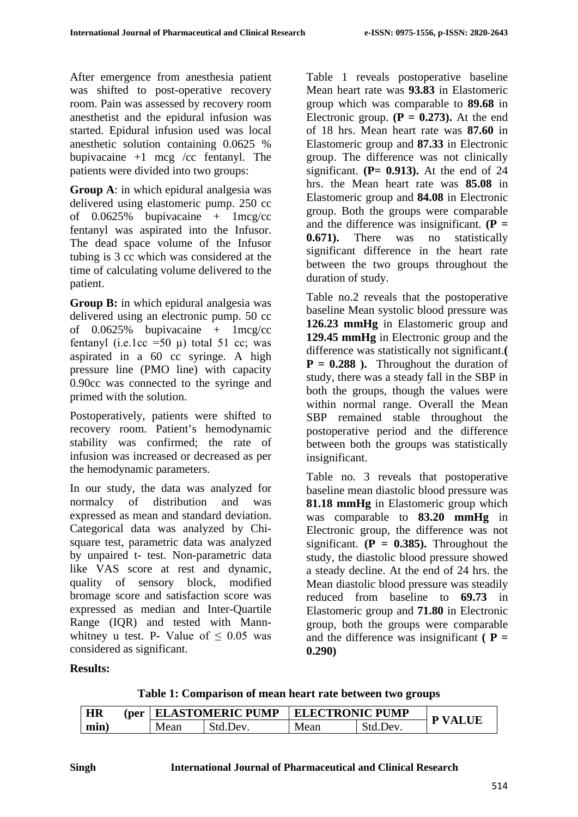After emergence from anesthesia patient was shifted to post-operative recovery room. Pain was assessed by recovery room anesthetist and the epidural infusion was started. Epidural infusion used was local anesthetic solution containing 0.0625 % bupivacaine  $+1$  mcg /cc fentanyl. The patients were divided into two groups:

**Group A**: in which epidural analgesia was delivered using elastomeric pump. 250 cc of  $0.0625\%$  bupivacaine + 1mcg/cc fentanyl was aspirated into the Infusor. The dead space volume of the Infusor tubing is 3 cc which was considered at the time of calculating volume delivered to the patient.

**Group B:** in which epidural analgesia was delivered using an electronic pump. 50 cc of  $0.0625\%$  bupivacaine + 1mcg/cc fentanyl (i.e.1cc =50  $\mu$ ) total 51 cc; was aspirated in a 60 cc syringe. A high pressure line (PMO line) with capacity 0.90cc was connected to the syringe and primed with the solution.

Postoperatively, patients were shifted to recovery room. Patient's hemodynamic stability was confirmed; the rate of infusion was increased or decreased as per the hemodynamic parameters.

In our study, the data was analyzed for normalcy of distribution and was expressed as mean and standard deviation. Categorical data was analyzed by Chisquare test, parametric data was analyzed by unpaired t- test. Non-parametric data like VAS score at rest and dynamic, quality of sensory block, modified bromage score and satisfaction score was expressed as median and Inter-Quartile Range (IQR) and tested with Mannwhitney u test. P- Value of  $\leq 0.05$  was considered as significant.

Table 1 reveals postoperative baseline Mean heart rate was **93.83** in Elastomeric group which was comparable to **89.68** in Electronic group.  $(P = 0.273)$ . At the end of 18 hrs. Mean heart rate was **87.60** in Elastomeric group and **87.33** in Electronic group. The difference was not clinically significant.  $(P= 0.913)$ . At the end of 24 hrs. the Mean heart rate was **85.08** in Elastomeric group and **84.08** in Electronic group. Both the groups were comparable and the difference was insignificant.  $(P =$ **0.671).** There was no statistically significant difference in the heart rate between the two groups throughout the duration of study.

Table no.2 reveals that the postoperative baseline Mean systolic blood pressure was **126.23 mmHg** in Elastomeric group and **129.45 mmHg** in Electronic group and the difference was statistically not significant.**(**   $P = 0.288$ ). Throughout the duration of study, there was a steady fall in the SBP in both the groups, though the values were within normal range. Overall the Mean SBP remained stable throughout the postoperative period and the difference between both the groups was statistically insignificant.

Table no. 3 reveals that postoperative baseline mean diastolic blood pressure was **81.18 mmHg** in Elastomeric group which was comparable to **83.20 mmHg** in Electronic group, the difference was not significant.  $(P = 0.385)$ . Throughout the study, the diastolic blood pressure showed a steady decline. At the end of 24 hrs. the Mean diastolic blood pressure was steadily reduced from baseline to **69.73** in Elastomeric group and **71.80** in Electronic group, both the groups were comparable and the difference was insignificant  $(P =$ **0.290)**

## **Results:**

**Table 1: Comparison of mean heart rate between two groups**

| <b>HR</b> |  |      | (per   ELASTOMERIC PUMP | <b>ELECTRONIC PUMP</b> |          | <b>P VALUE</b> |
|-----------|--|------|-------------------------|------------------------|----------|----------------|
| min)      |  | Mean | Std.Dev.                | Mean                   | Std.Dev. |                |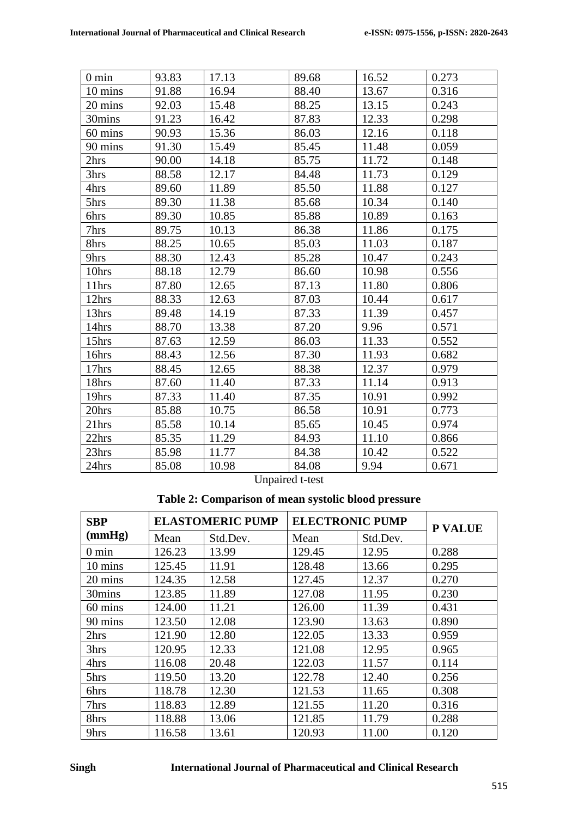| $0 \text{ min}$  | 93.83 | 17.13 | 89.68 | 16.52 | 0.273 |
|------------------|-------|-------|-------|-------|-------|
| 10 mins          | 91.88 | 16.94 | 88.40 | 13.67 | 0.316 |
| 20 mins          | 92.03 | 15.48 | 88.25 | 13.15 | 0.243 |
| 30mins           | 91.23 | 16.42 | 87.83 | 12.33 | 0.298 |
| 60 mins          | 90.93 | 15.36 | 86.03 | 12.16 | 0.118 |
| 90 mins          | 91.30 | 15.49 | 85.45 | 11.48 | 0.059 |
| 2hrs             | 90.00 | 14.18 | 85.75 | 11.72 | 0.148 |
| 3hrs             | 88.58 | 12.17 | 84.48 | 11.73 | 0.129 |
| 4hrs             | 89.60 | 11.89 | 85.50 | 11.88 | 0.127 |
| 5hrs             | 89.30 | 11.38 | 85.68 | 10.34 | 0.140 |
| 6hrs             | 89.30 | 10.85 | 85.88 | 10.89 | 0.163 |
| 7hrs             | 89.75 | 10.13 | 86.38 | 11.86 | 0.175 |
| 8hrs             | 88.25 | 10.65 | 85.03 | 11.03 | 0.187 |
| 9hrs             | 88.30 | 12.43 | 85.28 | 10.47 | 0.243 |
| 10hrs            | 88.18 | 12.79 | 86.60 | 10.98 | 0.556 |
| $11$ hrs         | 87.80 | 12.65 | 87.13 | 11.80 | 0.806 |
| 12hrs            | 88.33 | 12.63 | 87.03 | 10.44 | 0.617 |
| 13hrs            | 89.48 | 14.19 | 87.33 | 11.39 | 0.457 |
| 14hrs            | 88.70 | 13.38 | 87.20 | 9.96  | 0.571 |
| 15hrs            | 87.63 | 12.59 | 86.03 | 11.33 | 0.552 |
| 16hrs            | 88.43 | 12.56 | 87.30 | 11.93 | 0.682 |
| $17\mathrm{hrs}$ | 88.45 | 12.65 | 88.38 | 12.37 | 0.979 |
| 18hrs            | 87.60 | 11.40 | 87.33 | 11.14 | 0.913 |
| 19hrs            | 87.33 | 11.40 | 87.35 | 10.91 | 0.992 |
| 20hrs            | 85.88 | 10.75 | 86.58 | 10.91 | 0.773 |
| 21hrs            | 85.58 | 10.14 | 85.65 | 10.45 | 0.974 |
| 22hrs            | 85.35 | 11.29 | 84.93 | 11.10 | 0.866 |
| 23hrs            | 85.98 | 11.77 | 84.38 | 10.42 | 0.522 |
| 24hrs            | 85.08 | 10.98 | 84.08 | 9.94  | 0.671 |

Unpaired t-test

# **Table 2: Comparison of mean systolic blood pressure**

| <b>SBP</b>      | <b>ELASTOMERIC PUMP</b> |          | <b>ELECTRONIC PUMP</b> |          | <b>P VALUE</b> |
|-----------------|-------------------------|----------|------------------------|----------|----------------|
| (mmHg)          | Mean                    | Std.Dev. | Mean                   | Std.Dev. |                |
| $0 \text{ min}$ | 126.23                  | 13.99    | 129.45                 | 12.95    | 0.288          |
| 10 mins         | 125.45                  | 11.91    | 128.48                 | 13.66    | 0.295          |
| 20 mins         | 124.35                  | 12.58    | 127.45                 | 12.37    | 0.270          |
| 30mins          | 123.85                  | 11.89    | 127.08                 | 11.95    | 0.230          |
| 60 mins         | 124.00                  | 11.21    | 126.00                 | 11.39    | 0.431          |
| 90 mins         | 123.50                  | 12.08    | 123.90                 | 13.63    | 0.890          |
| 2hrs            | 121.90                  | 12.80    | 122.05                 | 13.33    | 0.959          |
| 3hrs            | 120.95                  | 12.33    | 121.08                 | 12.95    | 0.965          |
| 4hrs            | 116.08                  | 20.48    | 122.03                 | 11.57    | 0.114          |
| 5hrs            | 119.50                  | 13.20    | 122.78                 | 12.40    | 0.256          |
| 6hrs            | 118.78                  | 12.30    | 121.53                 | 11.65    | 0.308          |
| 7hrs            | 118.83                  | 12.89    | 121.55                 | 11.20    | 0.316          |
| 8hrs            | 118.88                  | 13.06    | 121.85                 | 11.79    | 0.288          |
| 9hrs            | 116.58                  | 13.61    | 120.93                 | 11.00    | 0.120          |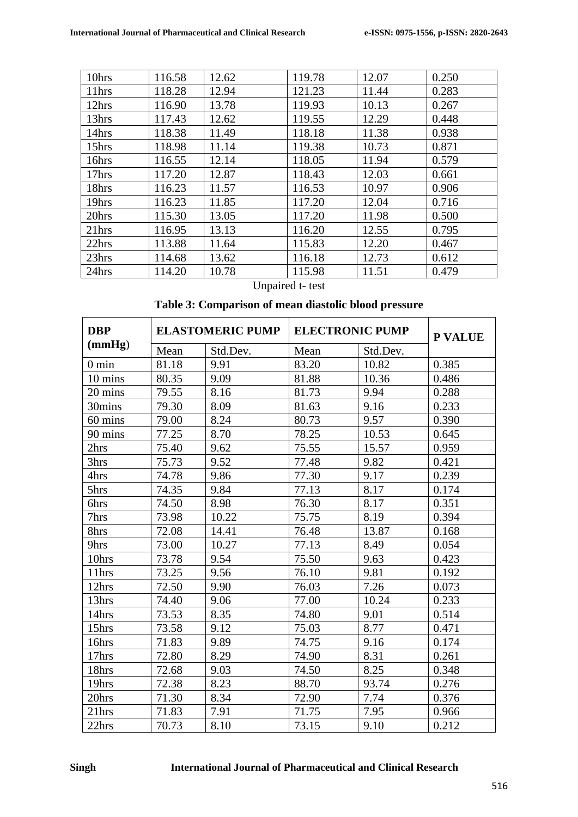| 10hrs | 116.58 | 12.62 | 119.78 | 12.07 | 0.250 |
|-------|--------|-------|--------|-------|-------|
| 11hrs | 118.28 | 12.94 | 121.23 | 11.44 | 0.283 |
| 12hrs | 116.90 | 13.78 | 119.93 | 10.13 | 0.267 |
| 13hrs | 117.43 | 12.62 | 119.55 | 12.29 | 0.448 |
| 14hrs | 118.38 | 11.49 | 118.18 | 11.38 | 0.938 |
| 15hrs | 118.98 | 11.14 | 119.38 | 10.73 | 0.871 |
| 16hrs | 116.55 | 12.14 | 118.05 | 11.94 | 0.579 |
| 17hrs | 117.20 | 12.87 | 118.43 | 12.03 | 0.661 |
| 18hrs | 116.23 | 11.57 | 116.53 | 10.97 | 0.906 |
| 19hrs | 116.23 | 11.85 | 117.20 | 12.04 | 0.716 |
| 20hrs | 115.30 | 13.05 | 117.20 | 11.98 | 0.500 |
| 21hrs | 116.95 | 13.13 | 116.20 | 12.55 | 0.795 |
| 22hrs | 113.88 | 11.64 | 115.83 | 12.20 | 0.467 |
| 23hrs | 114.68 | 13.62 | 116.18 | 12.73 | 0.612 |
| 24hrs | 114.20 | 10.78 | 115.98 | 11.51 | 0.479 |

# Unpaired t- test

# **Table 3: Comparison of mean diastolic blood pressure**

| <b>DBP</b>      | <b>ELASTOMERIC PUMP</b> |          | <b>ELECTRONIC PUMP</b> |          | P VALUE |
|-----------------|-------------------------|----------|------------------------|----------|---------|
| (mmHg)          | Mean                    | Std.Dev. | Mean                   | Std.Dev. |         |
| $0 \text{ min}$ | 81.18                   | 9.91     | 83.20                  | 10.82    | 0.385   |
| 10 mins         | 80.35                   | 9.09     | 81.88                  | 10.36    | 0.486   |
| 20 mins         | 79.55                   | 8.16     | 81.73                  | 9.94     | 0.288   |
| 30mins          | 79.30                   | 8.09     | 81.63                  | 9.16     | 0.233   |
| 60 mins         | 79.00                   | 8.24     | 80.73                  | 9.57     | 0.390   |
| 90 mins         | 77.25                   | 8.70     | 78.25                  | 10.53    | 0.645   |
| 2hrs            | 75.40                   | 9.62     | 75.55                  | 15.57    | 0.959   |
| 3hrs            | 75.73                   | 9.52     | 77.48                  | 9.82     | 0.421   |
| 4hrs            | 74.78                   | 9.86     | 77.30                  | 9.17     | 0.239   |
| 5hrs            | 74.35                   | 9.84     | 77.13                  | 8.17     | 0.174   |
| 6hrs            | 74.50                   | 8.98     | 76.30                  | 8.17     | 0.351   |
| 7hrs            | 73.98                   | 10.22    | 75.75                  | 8.19     | 0.394   |
| 8hrs            | 72.08                   | 14.41    | 76.48                  | 13.87    | 0.168   |
| 9hrs            | 73.00                   | 10.27    | 77.13                  | 8.49     | 0.054   |
| 10hrs           | 73.78                   | 9.54     | 75.50                  | 9.63     | 0.423   |
| 11hrs           | 73.25                   | 9.56     | 76.10                  | 9.81     | 0.192   |
| 12hrs           | 72.50                   | 9.90     | 76.03                  | 7.26     | 0.073   |
| 13hrs           | 74.40                   | 9.06     | 77.00                  | 10.24    | 0.233   |
| 14hrs           | 73.53                   | 8.35     | 74.80                  | 9.01     | 0.514   |
| 15hrs           | 73.58                   | 9.12     | 75.03                  | 8.77     | 0.471   |
| 16hrs           | 71.83                   | 9.89     | 74.75                  | 9.16     | 0.174   |
| 17hrs           | 72.80                   | 8.29     | 74.90                  | 8.31     | 0.261   |
| 18hrs           | 72.68                   | 9.03     | 74.50                  | 8.25     | 0.348   |
| 19hrs           | 72.38                   | 8.23     | 88.70                  | 93.74    | 0.276   |
| 20hrs           | 71.30                   | 8.34     | 72.90                  | 7.74     | 0.376   |
| 21hrs           | 71.83                   | 7.91     | 71.75                  | 7.95     | 0.966   |
| 22hrs           | 70.73                   | 8.10     | 73.15                  | 9.10     | 0.212   |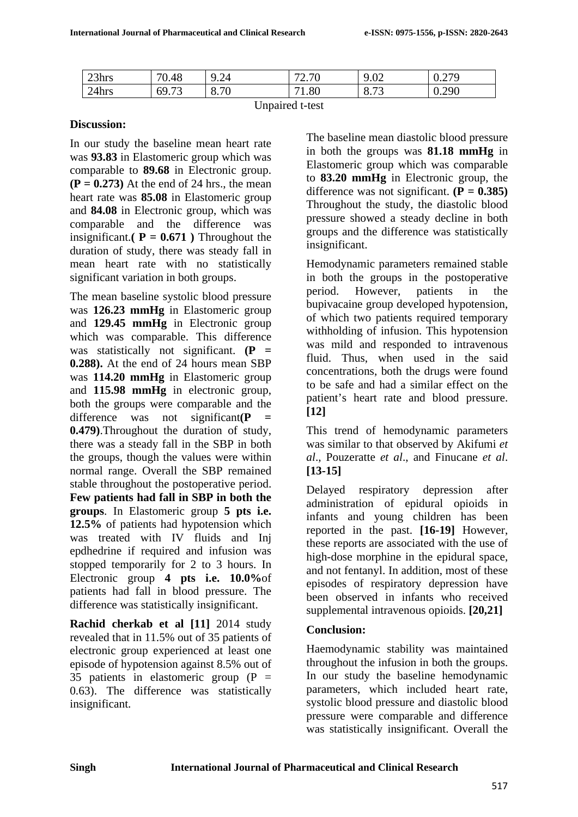| 23hrs | 70.48 | .24<br>$\overline{\phantom{a}}$ | $\overline{u}$<br>$\sqrt{2}$<br>$\mathcal{L}$ . I $\mathbf{U}$ | $\Omega$<br>9.UZ                   | 270<br>◡.∠ |
|-------|-------|---------------------------------|----------------------------------------------------------------|------------------------------------|------------|
| 24hrs | 69.73 | 3.70                            | 1.80                                                           | $\Omega$<br>$\overline{z}$<br>0.13 | 0.290      |

#### **Discussion:**

In our study the baseline mean heart rate was **93.83** in Elastomeric group which was comparable to **89.68** in Electronic group.  $(P = 0.273)$  At the end of 24 hrs., the mean heart rate was **85.08** in Elastomeric group and **84.08** in Electronic group, which was comparable and the difference was insignificant.**(** $P = 0.671$ **)** Throughout the duration of study, there was steady fall in mean heart rate with no statistically significant variation in both groups.

The mean baseline systolic blood pressure was **126.23 mmHg** in Elastomeric group and **129.45 mmHg** in Electronic group which was comparable. This difference was statistically not significant. **(P = 0.288).** At the end of 24 hours mean SBP was **114.20 mmHg** in Elastomeric group and **115.98 mmHg** in electronic group, both the groups were comparable and the difference was not significant(P **0.479)**.Throughout the duration of study, there was a steady fall in the SBP in both the groups, though the values were within normal range. Overall the SBP remained stable throughout the postoperative period. **Few patients had fall in SBP in both the groups**. In Elastomeric group **5 pts i.e. 12.5%** of patients had hypotension which was treated with IV fluids and Inj epdhedrine if required and infusion was stopped temporarily for 2 to 3 hours. In Electronic group **4 pts i.e. 10.0%**of patients had fall in blood pressure. The difference was statistically insignificant.

**Rachid cherkab et al [11]** 2014 study revealed that in 11.5% out of 35 patients of electronic group experienced at least one episode of hypotension against 8.5% out of 35 patients in elastomeric group  $(P =$ 0.63). The difference was statistically insignificant.

The baseline mean diastolic blood pressure in both the groups was **81.18 mmHg** in Elastomeric group which was comparable to **83.20 mmHg** in Electronic group, the difference was not significant.  $(P = 0.385)$ Throughout the study, the diastolic blood pressure showed a steady decline in both groups and the difference was statistically insignificant.

Hemodynamic parameters remained stable in both the groups in the postoperative period. However, patients in the bupivacaine group developed hypotension, of which two patients required temporary withholding of infusion. This hypotension was mild and responded to intravenous fluid. Thus, when used in the said concentrations, both the drugs were found to be safe and had a similar effect on the patient's heart rate and blood pressure. **[12]**

This trend of hemodynamic parameters was similar to that observed by Akifumi *et al*., Pouzeratte *et al*., and Finucane *et al*. **[13-15]**

Delayed respiratory depression after administration of epidural opioids in infants and young children has been reported in the past. **[16-19]** However, these reports are associated with the use of high-dose morphine in the epidural space, and not fentanyl. In addition, most of these episodes of respiratory depression have been observed in infants who received supplemental intravenous opioids. **[20,21]**

## **Conclusion:**

Haemodynamic stability was maintained throughout the infusion in both the groups. In our study the baseline hemodynamic parameters, which included heart rate, systolic blood pressure and diastolic blood pressure were comparable and difference was statistically insignificant. Overall the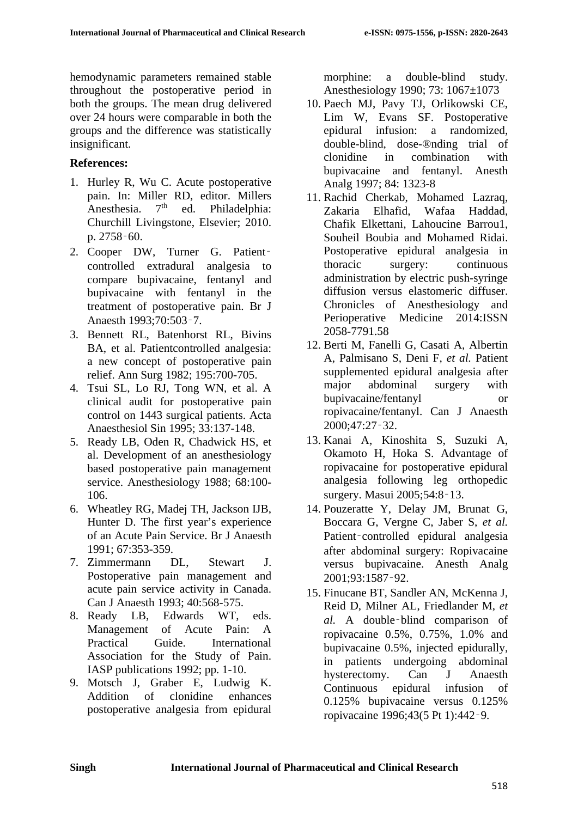hemodynamic parameters remained stable throughout the postoperative period in both the groups. The mean drug delivered over 24 hours were comparable in both the groups and the difference was statistically insignificant.

# **References:**

- 1. Hurley R, Wu C. Acute postoperative pain. In: Miller RD, editor. Millers Anesthesia. 7<sup>th</sup> ed. Philadelphia: Churchill Livingstone, Elsevier; 2010. p. 2758‑60.
- 2. Cooper DW, Turner G. Patientcontrolled extradural analgesia to compare bupivacaine, fentanyl and bupivacaine with fentanyl in the treatment of postoperative pain. Br J Anaesth 1993;70:503‑7.
- 3. Bennett RL, Batenhorst RL, Bivins BA, et al. Patientcontrolled analgesia: a new concept of postoperative pain relief. Ann Surg 1982; 195:700-705.
- 4. Tsui SL, Lo RJ, Tong WN, et al. A clinical audit for postoperative pain control on 1443 surgical patients. Acta Anaesthesiol Sin 1995; 33:137-148.
- 5. Ready LB, Oden R, Chadwick HS, et al. Development of an anesthesiology based postoperative pain management service. Anesthesiology 1988; 68:100- 106.
- 6. Wheatley RG, Madej TH, Jackson IJB, Hunter D. The first year's experience of an Acute Pain Service. Br J Anaesth 1991; 67:353-359.
- 7. Zimmermann DL, Stewart J. Postoperative pain management and acute pain service activity in Canada. Can J Anaesth 1993; 40:568-575.
- 8. Ready LB, Edwards WT, eds. Management of Acute Pain: A Practical Guide. International Association for the Study of Pain. IASP publications 1992; pp. 1-10.
- 9. Motsch J, Graber E, Ludwig K. Addition of clonidine enhances postoperative analgesia from epidural

morphine: a double-blind study. Anesthesiology 1990; 73: 1067±1073

- 10. Paech MJ, Pavy TJ, Orlikowski CE, Lim W, Evans SF. Postoperative epidural infusion: a randomized, double-blind, dose-®nding trial of clonidine in combination with bupivacaine and fentanyl. Anesth Analg 1997; 84: 1323-8
- 11. Rachid Cherkab, Mohamed Lazraq, Zakaria Elhafid, Wafaa Haddad, Chafik Elkettani, Lahoucine Barrou1, Souheil Boubia and Mohamed Ridai. Postoperative epidural analgesia in thoracic surgery: continuous administration by electric push-syringe diffusion versus elastomeric diffuser. Chronicles of Anesthesiology and Perioperative Medicine 2014:ISSN 2058-7791.58
- 12. Berti M, Fanelli G, Casati A, Albertin A, Palmisano S, Deni F, *et al.* Patient supplemented epidural analgesia after major abdominal surgery with bupivacaine/fentanyl or ropivacaine/fentanyl. Can J Anaesth 2000;47:27‑32.
- 13. Kanai A, Kinoshita S, Suzuki A, Okamoto H, Hoka S. Advantage of ropivacaine for postoperative epidural analgesia following leg orthopedic surgery. Masui 2005;54:8‑13.
- 14. Pouzeratte Y, Delay JM, Brunat G, Boccara G, Vergne C, Jaber S, *et al.*  Patient–controlled epidural analgesia after abdominal surgery: Ropivacaine versus bupivacaine. Anesth Analg 2001;93:1587‑92.
- 15. Finucane BT, Sandler AN, McKenna J, Reid D, Milner AL, Friedlander M, *et al.* A double‑blind comparison of ropivacaine 0.5%, 0.75%, 1.0% and bupivacaine 0.5%, injected epidurally, in patients undergoing abdominal hysterectomy. Can J Anaesth Continuous epidural infusion of 0.125% bupivacaine versus 0.125% ropivacaine 1996;43(5 Pt 1):442‑9.